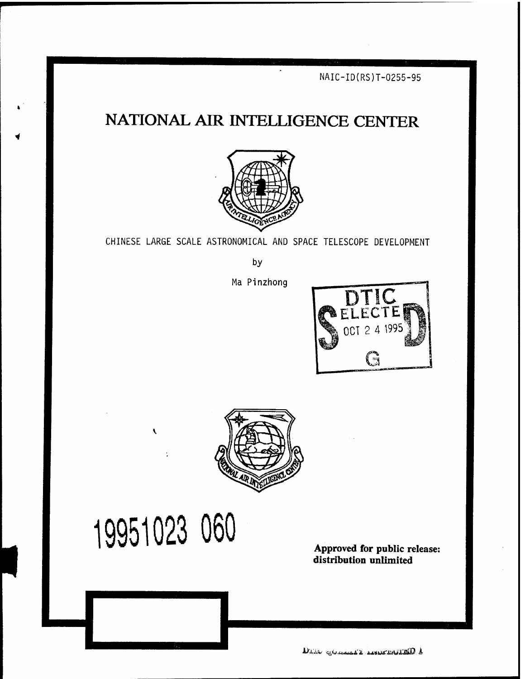**NAIC-ID(RS)T-0255-95**

# **NATIONAL AIR INTELLIGENCE CENTER**



CHINESE LARGE SCALE ASTRONOMICAL AND SPACE TELESCOPE DEVELOPMENT

by

Ma Pinzhong





# **19951023 060**

**I**

**Approved for public release: distribution unlimited**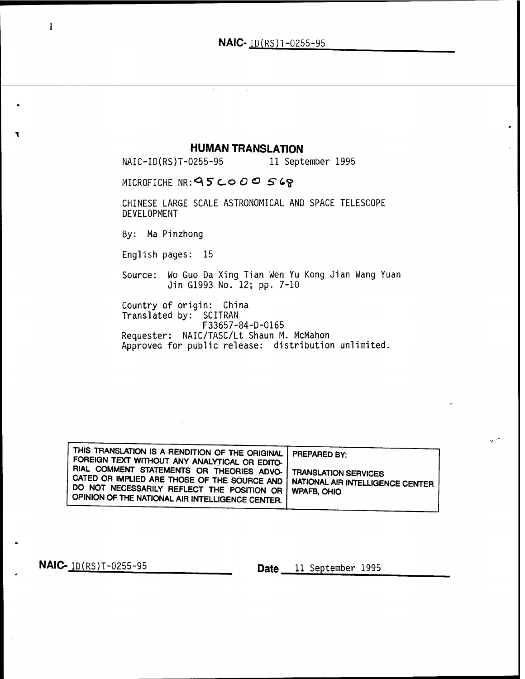**HUMAN TRANSLATION**<br>0255-95 11 September 1995 NAIC-ID(RS)T-0255-95

MICROFICHE NR:  $95$ COOO 568

CHINESE LARGE SCALE ASTRONOMICAL AND SPACE TELESCOPE DEVELOPMENT

By: Ma Pinzhong

English pages: 15

Source: Wo Guo Da Xing Tian Wen Yu Kong Jian Wang Yuan Jin G1993 No. 12; pp. 7-10

Country of origin: China Translated by: SCITRAN F33657-84-D-0165

Requester: NAIC/TASC/Lt Shaun M. McMahon Approved for public release: distribution unlimited.

| THIS TRANSLATION IS A RENDITION OF THE ORIGINAL   PREPARED BY:<br>FOREIGN TEXT WITHOUT ANY ANALYTICAL OR EDITO- I                                                                                                                                                   |  |
|---------------------------------------------------------------------------------------------------------------------------------------------------------------------------------------------------------------------------------------------------------------------|--|
| RIAL COMMENT STATEMENTS OR THEORIES ADVO-   TRANSLATION SERVICES<br>CATED OR IMPLIED ARE THOSE OF THE SOURCE AND   NATIONAL AIR INTELLIGENCE CENTER<br>DO NOT NECESSARILY REFLECT THE POSITION OR   WPAFB, OHIO<br>OPINION OF THE NATIONAL AIR INTELLIGENCE CENTER. |  |

**NAIC-**  $ID(RS)T-0255-95$  **Date** 11 September 1995

 $\mathbf{v}^{(i)}$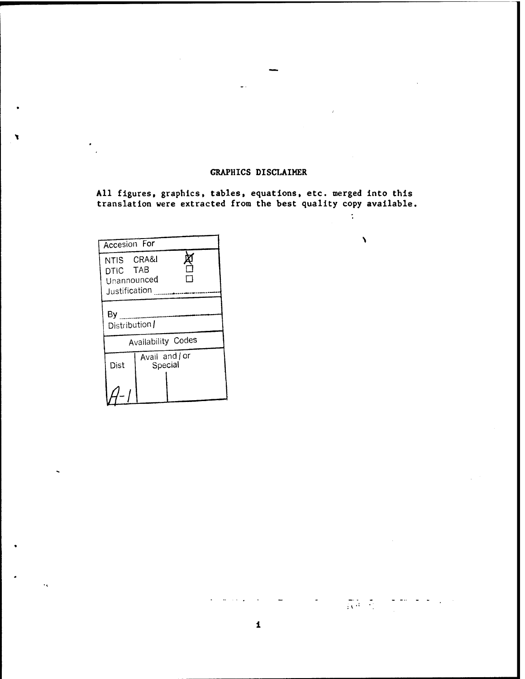### **GRAPHICS DISCLAIMER**

**All figures, graphics, tables, equations, etc. merged into this translation were extracted from the best quality copy available,**

 $\mathcal{I}^{\pm}$ 

 $\lambda$ 

 $\overline{\mathbb{E}(\mathcal{A})}$  ,  $\overline{\mathbb{E}(\mathcal{A})}$ 

| Accesion For                                           |                         |  |  |  |
|--------------------------------------------------------|-------------------------|--|--|--|
| NTIS CRA&I<br>DTIC TAB<br>Unannounced<br>Justification |                         |  |  |  |
| By                                                     | Distribution /          |  |  |  |
|                                                        | Availability Codes      |  |  |  |
| Dist                                                   | Avail and or<br>Special |  |  |  |
|                                                        |                         |  |  |  |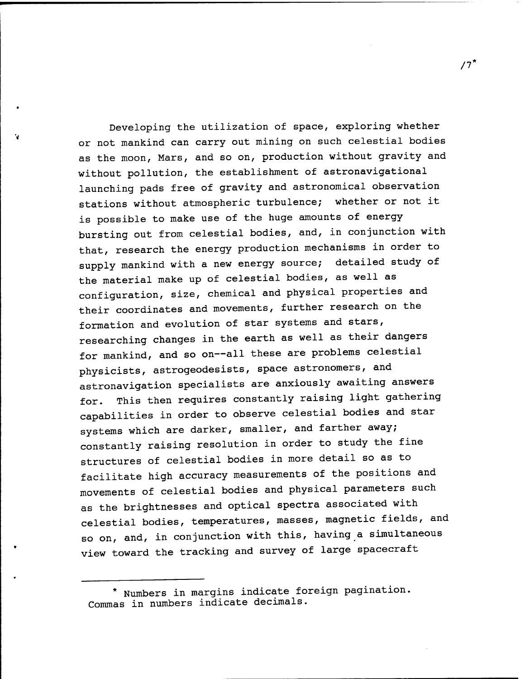Developing the utilization of space, exploring whether or not mankind can carry out mining on such celestial bodies as the moon, Mars, and so on, production without gravity and without pollution, the establishment of astronavigational launching pads free of gravity and astronomical observation stations without atmospheric turbulence; whether or not it is possible to make use of the huge amounts of energy bursting out from celestial bodies, and, in conjunction with that, research the energy production mechanisms in order to supply mankind with a new energy source; detailed study of the material make up of celestial bodies, as well as configuration, size, chemical and physical properties and their coordinates and movements, further research on the formation and evolution of star systems and stars, researching changes in the earth as well as their dangers for mankind, and so on--all these are problems celestial physicists, astrogeodesists, space astronomers, and astronavigation specialists are anxiously awaiting answers for. This then requires constantly raising light gathering capabilities in order to observe celestial bodies and star systems which are darker, smaller, and farther away; constantly raising resolution in order to study the fine structures of celestial bodies in more detail so as to facilitate high accuracy measurements of the positions and movements of celestial bodies and physical parameters such as the brightnesses and optical spectra associated with celestial bodies, temperatures, masses, magnetic fields, and so on, and, in conjunction with this, having a simultaneous view toward the tracking and survey of large spacecraft

*IT*

<sup>\*</sup> Numbers in margins indicate foreign pagination, Commas in numbers indicate decimals.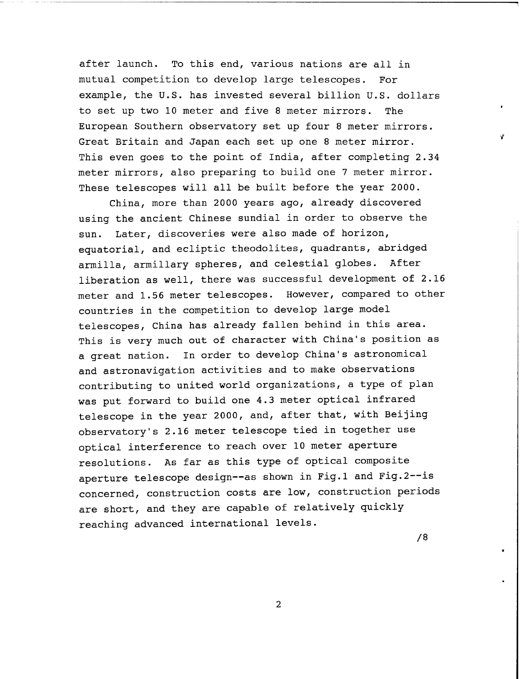after launch. To this end, various nations are all in mutual competition to develop large telescopes. For example, the U.S. has invested several billion U.S. dollars to set up two 10 meter and five <sup>8</sup> meter mirrors. The European Southern observatory set up four 8 meter mirrors. Great Britain and Japan each set up one <sup>8</sup> meter mirror. This even goes to the point of India, after completing 2.34 meter mirrors, also preparing to build one 7 meter mirror. These telescopes will all be built before the year 2000.

China, more than 2000 years ago, already discovered using the ancient Chinese sundial in order to observe the sun. Later, discoveries were also made of horizon, eguatorial, and ecliptic theodolites, guadrants, abridged armilla, armillary spheres, and celestial globes. After liberation as well, there was successful development of 2.16 meter and 1.56 meter telescopes. However, compared to other countries in the competition to develop large model telescopes, China has already fallen behind in this area. This is very much out of character with China's position as a great nation. In order to develop China's astronomical and astronavigation activities and to make observations contributing to united world organizations, a type of plan was put forward to build one 4.3 meter optical infrared telescope in the year 2000, and, after that, with Beijing observatory's 2.16 meter telescope tied in together use optical interference to reach over 10 meter aperture resolutions. As far as this type of optical composite aperture telescope design--as shown in Fig.1 and Fig.2--is concerned, construction costs are low, construction periods are short, and they are capable of relatively guickly reaching advanced international levels.

/8

 $\overline{2}$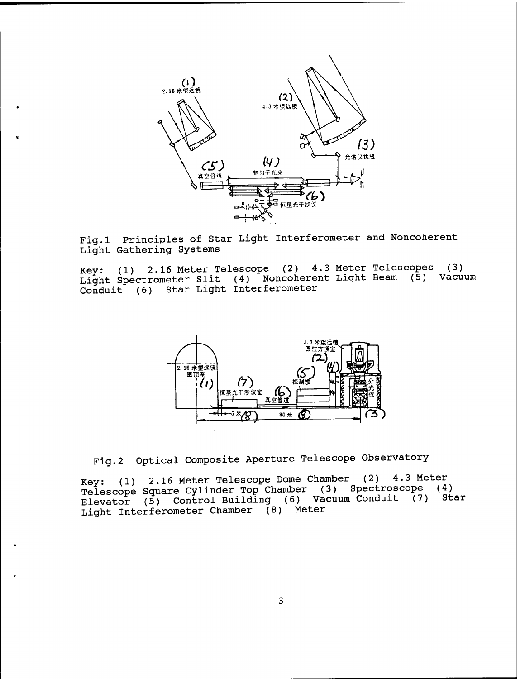

Fig.l Principles of Star Light Interferometer and Noncoherent Light Gathering Systems

Key: (1) 2.16 Meter Telescope (2) 4.3 Meter Telescopes (3) Light Spectrometer Slit (4) Noncoherent Light Beam (5) Vacuum Conduit (6) Star Light Interferometer



Fig.2 Optical Composite Aperture Telescope Observatory

Key: (1) 2.16 Meter Telescope Dome Chamber (2) 4.3 Meter Telescope Square Cylinder Top Chamber (3) Spectroscope (4) Elevator (5) Control Building (6) Vacuum Conduit (7) StarLight Interferometer Chamber (8) Meter

 $\overline{3}$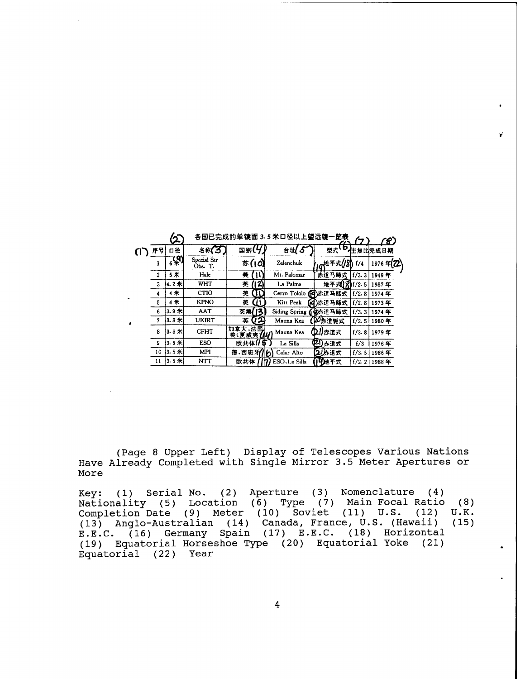|                         |                | 各国已完成的单镜面 3.5 米口径以上望远镜一览表 |                     |                           |                          | 8.            |           |
|-------------------------|----------------|---------------------------|---------------------|---------------------------|--------------------------|---------------|-----------|
| 序号                      | 口径             | 名称(3                      | 国别(4                | 台址(5                      | 型式"                      |               | 【D社焦比完成日期 |
| l                       | $6\frac{1}{2}$ | Special Str<br>0bs. T.    | が(10)               | Zelenchuk                 | * <sub>L91</sub> 世平式(/8) | $\frac{1}{4}$ | 1976年2    |
| 2                       | 5米             | Hale                      | 美<br>n              | Mt. Palomar               | 赤道马蹄式                    | 1/3.3         | 1949年     |
| $\overline{\mathbf{3}}$ | 4.2米           | WHT                       | (12)<br>英           | La Palma                  | 地平式()8)                  | H/2. 5        | 1987年     |
| 4                       | 4米             | <b>CTIO</b>               | 美<br>ωυ             | Cerro Tololo (日)赤道马蹄式     |                          | f/2.8         | 1974年     |
| 5                       | 4 米            | <b>KPNO</b>               | 蓌<br>m              | Kitt Peak                 | (4) 赤道马蹄式                | 1/2.8         | 1973年     |
| 6                       | 3.9米           | AAT                       | 英澳<br>73            | Siding Spring             | (4)赤道马蹄式                 | 1/3.3         | 1974年     |
| 7                       | $13.8*$        | <b>UKIRT</b>              | 72<br>英             | Mauna Kea                 | DO标道轭式                   | f/2.5         | 1980年     |
| 8                       | 13.6米          | <b>CFHT</b>               | 加拿大,法国<br>美(夏威夷744) | Mauna Kea                 | ①儿赤道式                    | 1/3.8         | 1979年     |
| 9                       | $13.6$ $*$     | <b>ESO</b>                | 欧共体(1               | La Silla                  | 21)赤道式                   | f/3           | 1976年     |
| 10                      | $13.5$ 米       | <b>MPI</b>                | 德,西班牙               | Calar Alto<br>′ທ          | 赤道式<br>21                | f/3.5         | 1986年     |
| 11                      | $13.5*$        | NTT                       | 欧共体                 | ESO <sub>1</sub> La Silla | 19地平式                    | 1/2.2         | 1988年     |

«BBSAKUMMI 3.5 \*Dsu±astt-B«

(Page 8 Upper Left) Display of Telescopes Various Nations Have Already Completed with Single Mirror 3.5 Meter Apertures or More

Key: (1) Serial No. (2) Aperture (3) Nomenclature (4) Nationality (5) Location (6) Type (7) Main Focal Ratio Completion Date (9) Meter (10) Soviet (11) U.S. (12) (13) Anglo-Australian (14) Canada, France, U.S. (Hawaii) (15)E.E.C. (16) Germany Spain (17) E.E.C. (18) Horizontal (19) Equatorial Horseshoe Type (20) Equatorial Yoke (21) Equatorial (22) Year (8) U.K.

 $\overline{4}$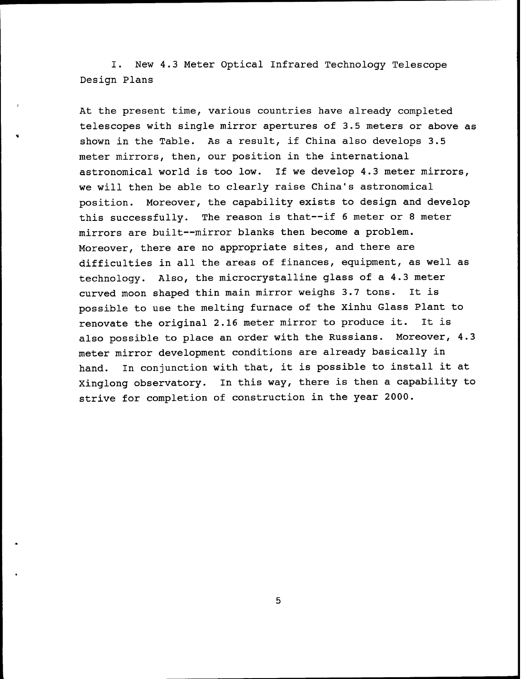I. New 4.3 Meter Optical Infrared Technology Telescope Design Plans

At the present time, various countries have already completed telescopes with single mirror apertures of 3.5 meters or above as shown in the Table. As a result, if China also develops 3.5 meter mirrors, then, our position in the international astronomical world is too low. If we develop 4.3 meter mirrors, we will then be able to clearly raise China's astronomical position. Moreover, the capability exists to design and develop this successfully. The reason is that—if <sup>6</sup> meter or <sup>8</sup> meter mirrors are built—mirror blanks then become a problem. Moreover, there are no appropriate sites, and there are difficulties in all the areas of finances, eguipment, as well as technology. Also, the microcrystalline glass of a 4.3 meter curved moon shaped thin main mirror weighs 3.7 tons. It is possible to use the melting furnace of the Xinhu Glass Plant to renovate the original 2.16 meter mirror to produce it. It is also possible to place an order with the Russians. Moreover, 4.3 meter mirror development conditions are already basically in hand. In conjunction with that, it is possible to install it at Xinglong observatory. In this way, there is then a capability to strive for completion of construction in the year 2000.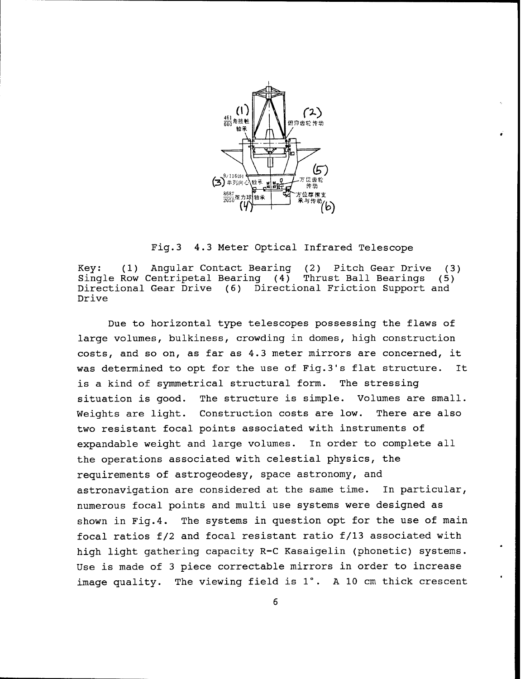

Fig.3 4.3 Meter Optical Infrared Telescope

Key: (1) Angular Contact Bearing (2) Pitch Gear Drive (3) Single Row Centripetal Bearing (4) Thrust Ball Bearings (5) Directional Gear Drive (6) Directional Friction Support and Drive

Due to horizontal type telescopes possessing the flaws of large volumes, bulkiness, crowding in domes, high construction costs, and so on, as far as 4.3 meter mirrors are concerned, it was determined to opt for the use of Fig.3's flat structure. It is a kind of symmetrical structural form. The stressing situation is good. The structure is simple. Volumes are small. Weights are light. Construction costs are low. There are also two resistant focal points associated with instruments of expandable weight and large volumes. In order to complete all the operations associated with celestial physics, the requirements of astrogeodesy, space astronomy, and astronavigation are considered at the same time. In particular, numerous focal points and multi use systems were designed as shown in Fig.4. The systems in question opt for the use of main focal ratios f/2 and focal resistant ratio f/13 associated with high light gathering capacity R-C Kasaigelin (phonetic) systems. Use is made of 3 piece correctable mirrors in order to increase image quality. The viewing field is 1°. A 10 cm thick crescent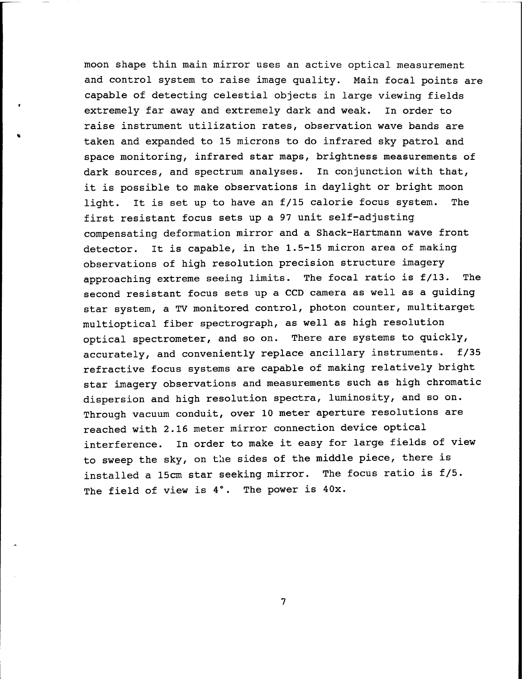moon shape thin main mirror uses an active optical measurement and control system to raise image quality. Main focal points are capable of detecting celestial objects in large viewing fields extremely far away and extremely dark and weak. In order to raise instrument utilization rates, observation wave bands are taken and expanded to 15 microns to do infrared sky patrol and space monitoring, infrared star maps, brightness measurements of dark sources, and spectrum analyses. In conjunction with that, it is possible to make observations in daylight or bright moon light. It is set up to have an f/15 calorie focus system. The first resistant focus sets up a 97 unit self-adjusting compensating deformation mirror and a Shack-Hartmann wave front detector. It is capable, in the 1.5-15 micron area of making observations of high resolution precision structure imagery approaching extreme seeing limits. The focal ratio is f/13. The second resistant focus sets up a CCD camera as well as a guiding star system, a TV monitored control, photon counter, multitarget multioptical fiber spectrograph, as well as high resolution optical spectrometer, and so on. There are systems to quickly, accurately, and conveniently replace ancillary instruments. f/35 refractive focus systems are capable of making relatively bright star imagery observations and measurements such as high chromatic dispersion and high resolution spectra, luminosity, and so on. Through vacuum conduit, over 10 meter aperture resolutions are reached with 2.16 meter mirror connection device optical interference. In order to make it easy for large fields of view to sweep the sky, on the sides of the middle piece, there is installed a 15cm star seeking mirror. The focus ratio is f/5. The field of view is 4°. The power is 40x.

 $7\overline{ }$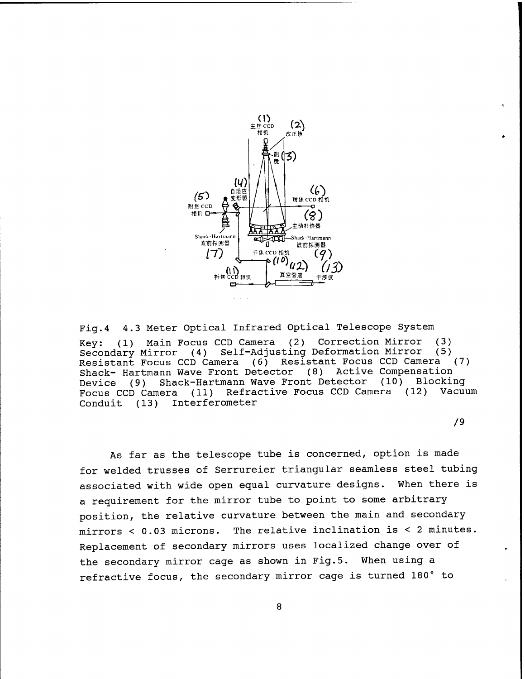

Fig.4 4.3 Meter Optical Infrared Optical Telescope System Key: (1) Main Focus CCD Camera (2) Correction Mirror (3) Secondary Mirror (4) Self-Adjusting Deformation Mirror (5) Resistant Focus CCD Camera (6) Resistant Focus CCD Camera (7) Shack- Hartmann Wave Front Detector (8) Active Compensation Device (9) Shack-Hartmann Wave Front Detector (10) Blocking Focus CCD Camera (11) Refractive Focus CCD Camera Conduit (13) Interferometer

/9

As far as the telescope tube is concerned, option is made for welded trusses of Serrureier triangular seamless steel tubing associated with wide open egual curvature designs. When there is a reguirement for the mirror tube to point to some arbitrary position, the relative curvature between the main and secondary mirrors < 0.03 microns. The relative inclination is < 2 minutes. Replacement of secondary mirrors uses localized change over of the secondary mirror cage as shown in Fig.5. When using a refractive focus, the secondary mirror cage is turned 180° to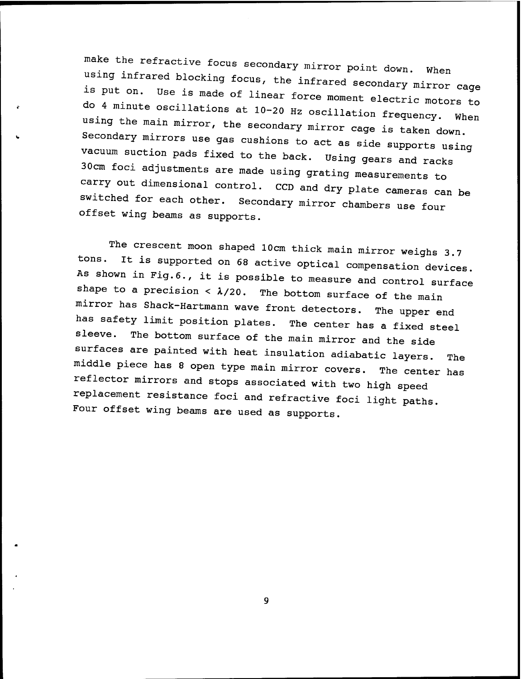make the refractive focus secondary mirror point down. When using infrared<br>is put on. Us blocking focus, the infrared secondary mirror cage<br>is made of linear force moment also . rs put on. Use is made of linear force moment electric motors to do 4 minute oscillations at  $10-20$  Hz oscillation frequency. When using the main mirror, the secondary mirror cage is taken down. Secondary mirrors use gas cushions to act as side supports using vacuum suction pads fixed to the back. Using gears and racks 30cm foci adjustments are made using grating measurements to carry out dimensional control. CCD and dry plate cameras can be<br>switched for each other. Secondary mirror chambors was for Secondary mirror chambers use four offset wing beams as supports.

The crescent moon shaped 10cm thick main mirror weighs 3.7<br>tons. It is supported on 69 20tius 20tius? It is supported on 68 active optical compensation devices. As shown in Fig.6., it is possible to measure and control surface shape to a precision <  $\lambda/20$ . The bottom surface of the main mirror has Shack-Hartmann wave front detectors. The upper end has safety limit position plates. The center has a fixed steel sleeve. The bottom surface of the main mirror and the side surfaces are painted with heat insulation adiabatic layers. The middle piece has 8 open type main mirror covers. The center has reflector mirrors and stops associated with two high speed replacement resistance foci and refractive foci light paths. Four offset wing beams are used as supports.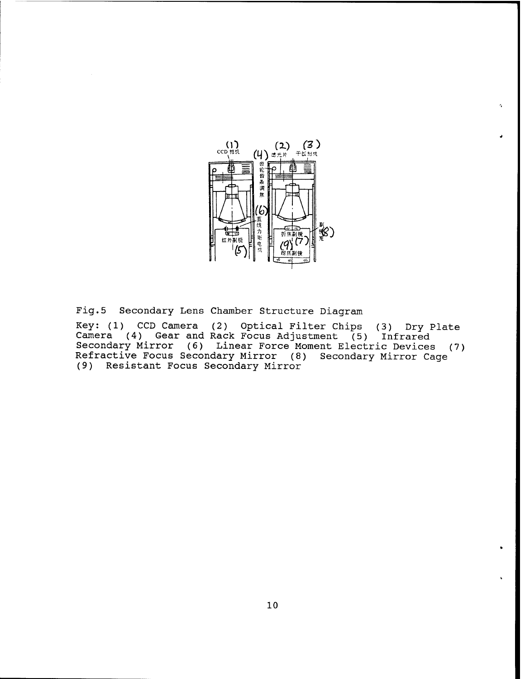

 $\gamma$ 

Fig.5 Secondary Lens Chamber Structure Diagram

Key: (1) CCD Camera (2) Optical Filter Chips (3) Dry Plate Camera (4) Gear and Rack Focus Adjustment (5) Infrared Secondary Mirror (6) Linear Force Moment Electric Devices (7) Refractive Focus Secondary Mirror (8) Secondary Mirror Cage (9) Resistant Focus Secondary Mirror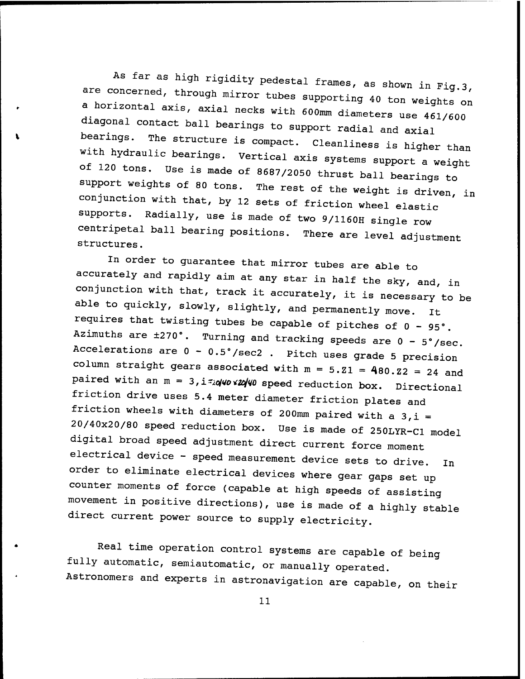As far as high rigidity pedestal frames, as shown in Fig.3, are concerned, through mirror tubes supporting 40<br>a horizontal axis, axial necks with 600mm diamete a horizontal axis, axial necks with 600mm diameters use 461/600 diagonal contact ball bearings to support radial and axial bearings. The structure is compact. Cleanliness is higher than with hydraulic bearings. Vertical axis systems support a weight of 120 tons. use is made of 8687/2050 thrust ball bearings to support weights of 80 tons. The rest of the weight is driven, in conjunction with that, by 12 sets of friction wheel elastic supports. Radially, use is made of two 9/1160H single row centripetal ball bearing positions. There are level adjustment structures.

In order to guarantee that mirror tubes are able to accurately and rapidly aim at any star in half the sky, and, in conjunction with that, track it accurately, it is necessary to be able to quickly, slowly, slightly, and permanently move. it requires that twisting tubes be capable of pitches of  $0 - 95$ °. Azimuths are  $\pm 270^\circ$ . Turning and tracking speeds are  $0 - 5^\circ$ /sec. Accelerations are  $0 - 0.5^{\circ}/\text{sec2}$ . Pitch uses grade 5 precision column straight gears associated with  $m = 5.21 = 480.22 = 24$  and paired with an  $m = 3$ , i=10  $/20$  speed reduction box. Directional friction drive uses 5.4 meter diameter friction plates and friction wheels with diameters of 200mm paired with a  $3,i =$ 20/40x20/80 speed reduction box. Use is made of 250LYR-C1 model digital broad speed adjustment direct current force moment electrical device - speed measurement device sets to drive. In order to eliminate electrical devices where gear gaps set up counter moments of force (capable at high speeds of assisting movement in positive directions), use is made of a highly stable direct current power source to supply electricity.

Real time operation control systems are capable of being fully automatic, semiautomatic, or manually operated. Astronomers and experts in astronavigation are capable, on their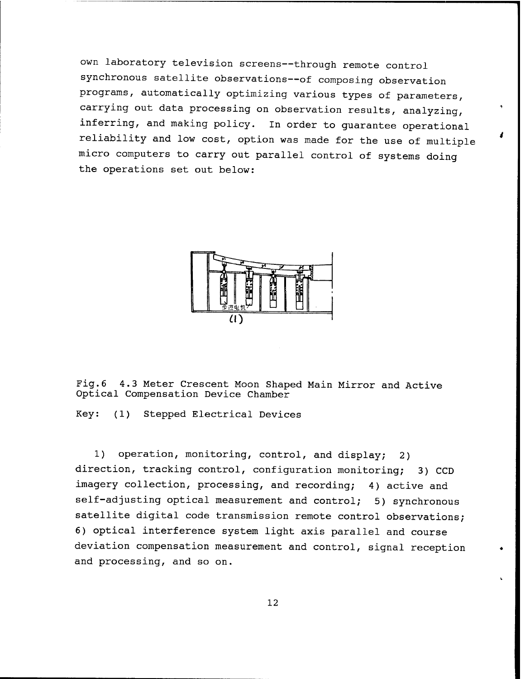own laboratory television screens—through remote control synchronous satellite observations—of composing observation programs, automatically optimizing various types of parameters, carrying out data processing on observation results, analyzing, inferring, and making policy. In order to guarantee operational reliability and low cost, option was made for the use of multiple micro computers to carry out parallel control of systems doing the operations set out below:

 $\overline{A}$ 



Fig.6 4.3 Meter Crescent Moon Shaped Main Mirror and Active Optical Compensation Device Chamber

Key: (1) Stepped Electrical Devices

1) operation, monitoring, control, and display; 2) direction, tracking control, configuration monitoring; 3) CCD imagery collection, processing, and recording; 4) active and self-adjusting optical measurement and control; 5) synchronous satellite digital code transmission remote control observations; 6) optical interference system light axis parallel and course deviation compensation measurement and control, signal reception and processing, and so on.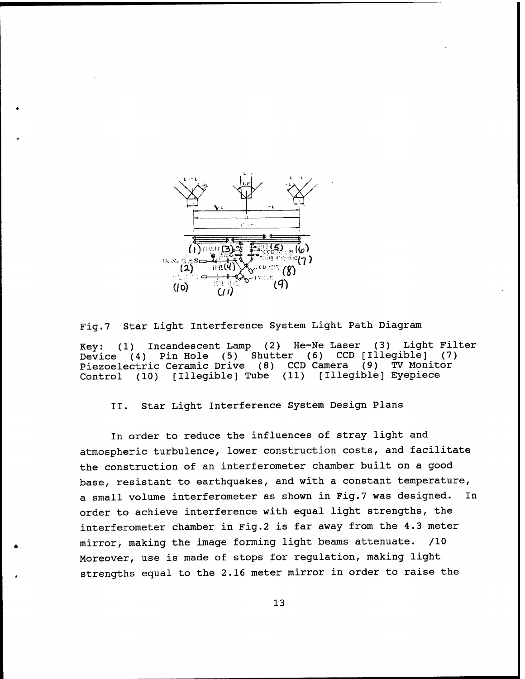

Fig.7 Star Light Interference System Light Path Diagram Key: (1) Incandescent Lamp (2) He-Ne Laser (3) Light Filter<br>Device (4) Pin Hole (5) Shutter (6) CCD [Illeqible] (7) Device (4) Pin Hole (5) Shutter (6) CCD [Illegible] (7) Piezoelectric Ceramic Drive (8) CCD Camera (9) TV Monitor Control (10) [Illegible] Tube (11) [Illegible] Eyepiece

II. Star Light Interference System Design Plans

In order to reduce the influences of stray light and atmospheric turbulence, lower construction costs, and facilitate the construction of an interferometer chamber built on a good base, resistant to earthquakes, and with a constant temperature, a small volume interferometer as shown in Fig.7 was designed. In order to achieve interference with equal light strengths, the interferometer chamber in Fig.2 is far away from the 4.3 meter mirror, making the image forming light beams attenuate. /10 Moreover, use is made of stops for regulation, making light strengths equal to the 2.16 meter mirror in order to raise the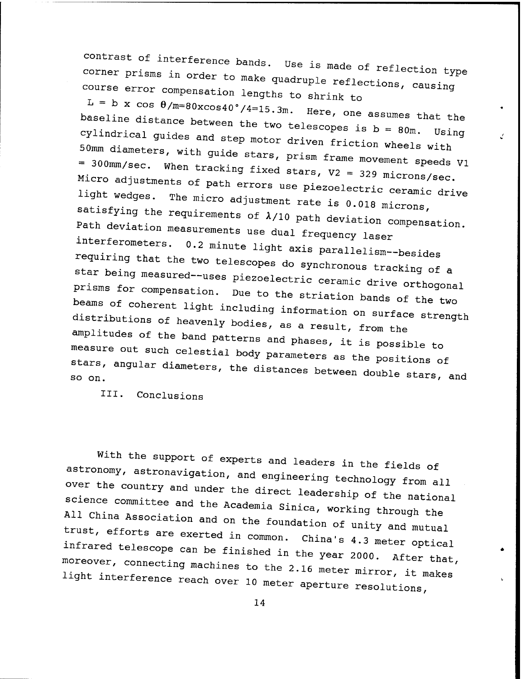contrast of interference bands. Use is made of reflection type corner prisms in order to make quadruple reflections some type course error compensation lengths to shrink to CaUSln9

 $\mu$  - b x cos  $\theta/m=80xcos40°/4=15.3m$ , Here  $L = b$  x cos  $\theta/m=80x\cos 40^{\circ}/4=15.3$ m. Here, one assumes that the<br>baseline distance between the two telescopes is  $b = 80$ m. Using<br>cylindrical quides and step motor  $h$ . Daseline distance between the two telescopes is b = 80m. Using<br>
cylindrical guides and step motor driven friction wheels with<br>
50mm diameters, with guide stars, prism frame movement speeds v<br>
= 300mm/sec. When he with 50mm diameters, with guide stars, prism frame movement speeds  $v_1$  = 300mm/sec. When tracking fixed stars,  $v_2$  = 329 microns/sec. Micro adjustments of path errors use piezoelectric ceramic duisatisfying the requirements of  $\lambda/10$  path deviation Then tracking fixed stars,  $V2 = 329$  microns/sec.<br>ts of path errors use piezoelectric ceramic drive<br>The micro adjustment rate is 0.018 microns,<br>requirements of  $\lambda/10$  path deviation compensation. The micro adjustment rate is 0.018 microns, Path deviation measurements was also path deviation compensation Path deviation measurements use dual frequency laser interferometers. 0.2 minute light axis parallelism--besides<br>requiring that the two telescopes do synchronous tracking of a star being measured--uses piezoelectric ceramic drive orthogonal<br>prisms for compensation. Due to the striation bands of the two beams of coherent light including information on surface strength distributions of heavenly bodies, as a result, from the amplitudes of the band patterns and phases, it is possible to measure out such celestial body parameters as the positions of<br>stars, angular diameters the distance is

III. Conclusions

With the support of experts and leaders in the fields of astronomy, astronavigation, and engineering technology from all over the country and under the direct leadership of the national science committee and the Academia Sinica, working through the All China Association and on the foundation of unity and m<br>trust, efforts are exerted in common. China's 4.3 motors trust, efforts are exerted in common. China's 4.3 meter optical infrared telescope can be finished in the year 2000. After that, moreover, connecting machines to the 2.16 meter mirror, it makes light interference reach over 10 meter aperture resolutions,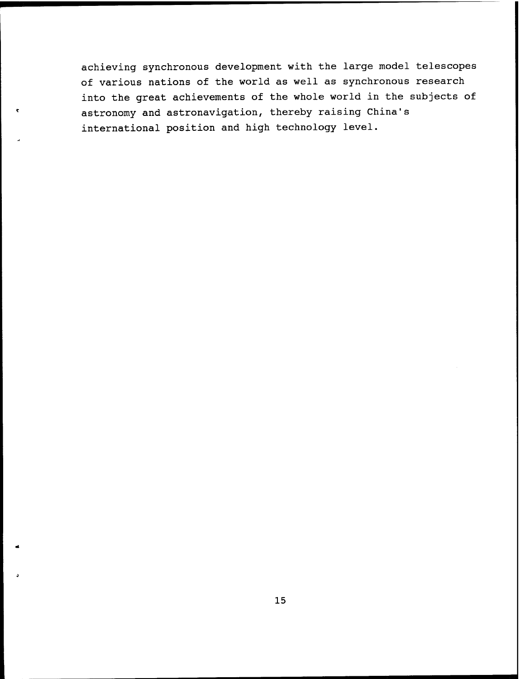achieving synchronous development with the large model telescopes of various nations of the world as well as synchronous research into the great achievements of the whole world in the subjects of astronomy and astronavigation, thereby raising China's international position and high technology level.